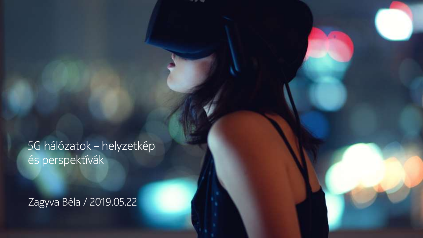5G hálózatok – helyzetkép és perspektívák

Zagyva Béla / 2019.05.22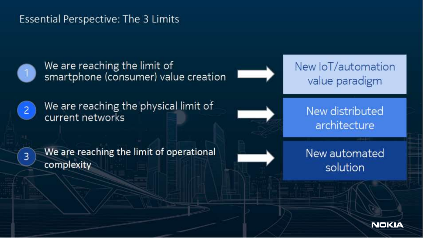#### **Essential Perspective: The 3 Limits**



3

We are reaching the limit of smartphone (consumer) value creation



We are reaching the limit of operational complexity



New IoT/automation value paradigm

New distributed architecture

New automated solution

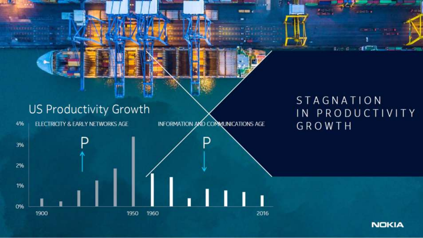### **US Productivity Growth**

4% ELECTRICITY & EARLY NETWORKS AGE INFORMATION AND COMMUNICATIONS AGE

#### STAGNATION IN PRODUCTIVITY GROWTH

- 11

本の形式



**NOKIA**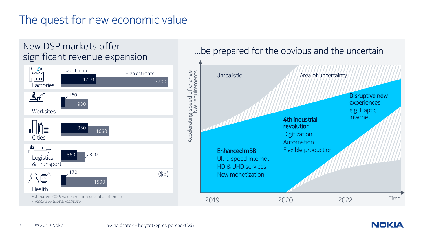## The quest for new economic value



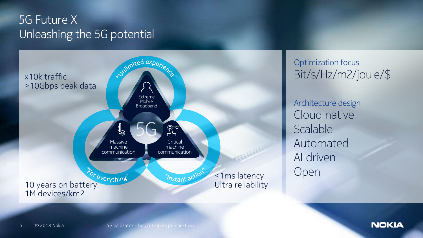### Unleashing the 5G potential 5G Future X



Optimization focus Bit/s/Hz/m2/joule/\$

Architecture design Cloud native Scalable Automated AI driven Open

5 © 2018 Nokia

**NOKIA**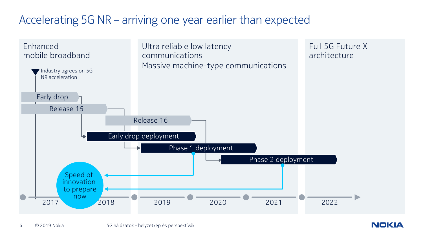### Accelerating 5G NR – arriving one year earlier than expected

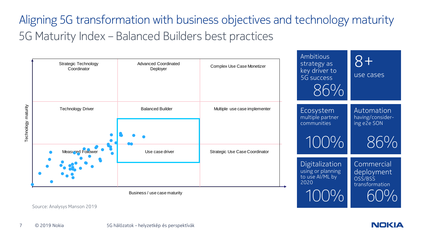## 5G Maturity Index – Balanced Builders best practices Aligning 5G transformation with business objectives and technology maturity

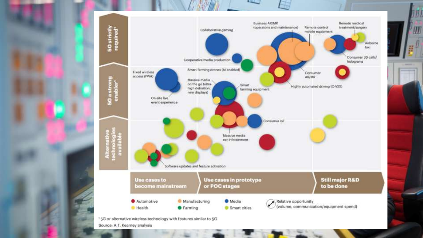

Ш

Source: A.T. Kearney analysis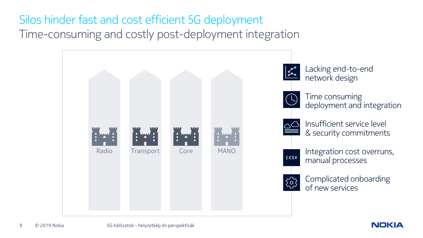# Silos hinder fast and cost efficient 5G deployment

Time-consuming and costly post-deployment integration

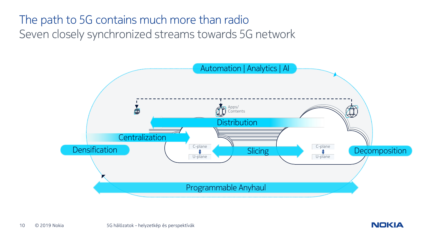### Seven closely synchronized streams towards 5G network The path to 5G contains much more than radio



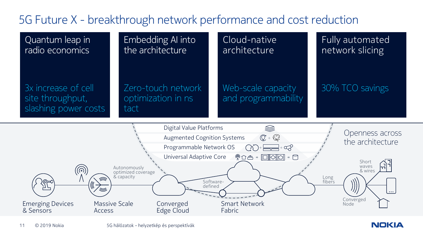### 5G Future X - breakthrough network performance and cost reduction



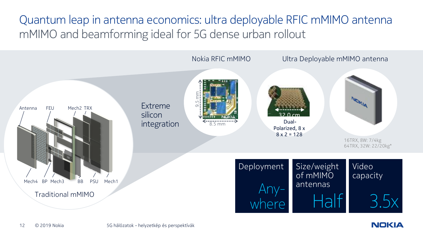mMIMO and beamforming ideal for 5G dense urban rollout Quantum leap in antenna economics: ultra deployable RFIC mMIMO antenna



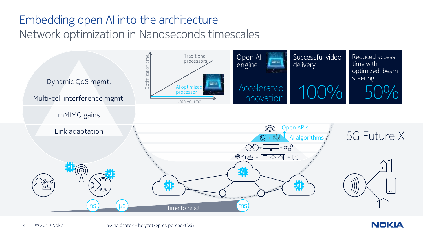# Embedding open AI into the architecture





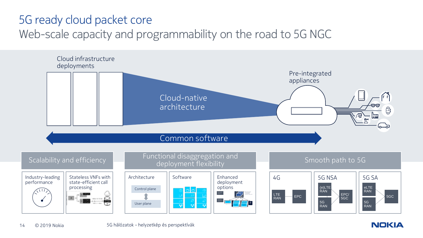### 5G ready cloud packet core

### Web-scale capacity and programmability on the road to 5G NGC



**NOKIA**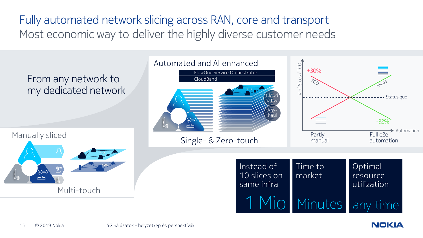Most economic way to deliver the highly diverse customer needs Fully automated network slicing across RAN, core and transport